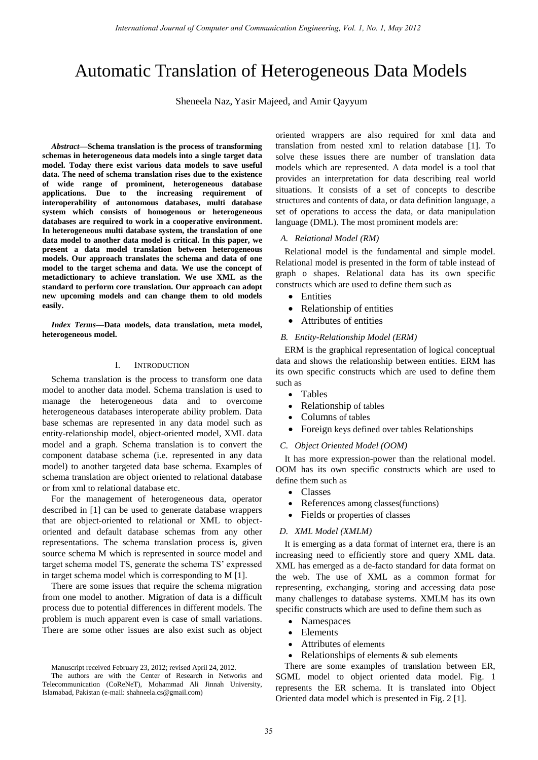# Automatic Translation of Heterogeneous Data Models

Sheneela Naz, Yasir Majeed, and Amir Qayyum

*Abstract***—Schema translation is the process of transforming schemas in heterogeneous data models into a single target data model. Today there exist various data models to save useful data. The need of schema translation rises due to the existence of wide range of prominent, heterogeneous database applications. Due to the increasing requirement of interoperability of autonomous databases, multi database system which consists of homogenous or heterogeneous databases are required to work in a cooperative environment. In heterogeneous multi database system, the translation of one data model to another data model is critical. In this paper, we present a data model translation between heterogeneous models. Our approach translates the schema and data of one model to the target schema and data. We use the concept of metadictionary to achieve translation. We use XML as the standard to perform core translation. Our approach can adopt new upcoming models and can change them to old models easily.** 

*Index Terms***—Data models, data translation, meta model, heterogeneous model.** 

## I. INTRODUCTION

Schema translation is the process to transform one data model to another data model. Schema translation is used to manage the heterogeneous data and to overcome heterogeneous databases interoperate ability problem. Data base schemas are represented in any data model such as entity-relationship model, object-oriented model, XML data model and a graph. Schema translation is to convert the component database schema (i.e. represented in any data model) to another targeted data base schema. Examples of schema translation are object oriented to relational database or from xml to relational database etc.

For the management of heterogeneous data, operator described in [1] can be used to generate database wrappers that are object-oriented to relational or XML to objectoriented and default database schemas from any other representations. The schema translation process is, given source schema M which is represented in source model and target schema model TS, generate the schema TS' expressed in target schema model which is corresponding to M [1].

There are some issues that require the schema migration from one model to another. Migration of data is a difficult process due to potential differences in different models. The problem is much apparent even is case of small variations. There are some other issues are also exist such as object oriented wrappers are also required for xml data and translation from nested xml to relation database [1]. To solve these issues there are number of translation data models which are represented. A data model is a tool that provides an interpretation for data describing real world situations. It consists of a set of concepts to describe structures and contents of data, or data definition language, a set of operations to access the data, or data manipulation language (DML). The most prominent models are:

## *A. Relational Model (RM)*

Relational model is the fundamental and simple model. Relational model is presented in the form of table instead of graph o shapes. Relational data has its own specific constructs which are used to define them such as

- **•** Entities
- Relationship of entities
- Attributes of entities

## *B. Entity-Relationship Model (ERM)*

ERM is the graphical representation of logical conceptual data and shows the relationship between entities. ERM has its own specific constructs which are used to define them such as

- Tables
- Relationship of tables
- Columns of tables
- Foreign keys defined over tables Relationships

## *C. Object Oriented Model (OOM)*

It has more expression-power than the relational model. OOM has its own specific constructs which are used to define them such as

- Classes
- References among classes(functions)
- Fields or properties of classes

### *D. XML Model (XMLM)*

It is emerging as a data format of internet era, there is an increasing need to efficiently store and query XML data. XML has emerged as a de-facto standard for data format on the web. The use of XML as a common format for representing, exchanging, storing and accessing data pose many challenges to database systems. XMLM has its own specific constructs which are used to define them such as

- Namespaces
- Elements
- Attributes of elements
- Relationships of elements & sub elements

There are some examples of translation between ER, SGML model to object oriented data model. Fig. 1 represents the ER schema. It is translated into Object Oriented data model which is presented in Fig. 2 [1].

Manuscript received February 23, 2012; revised April 24, 2012.

The authors are with the Center of Research in Networks and Telecommunication (CoReNeT), Mohammad Ali Jinnah University, Islamabad, Pakistan (e-mail: shahneela.cs@gmail.com)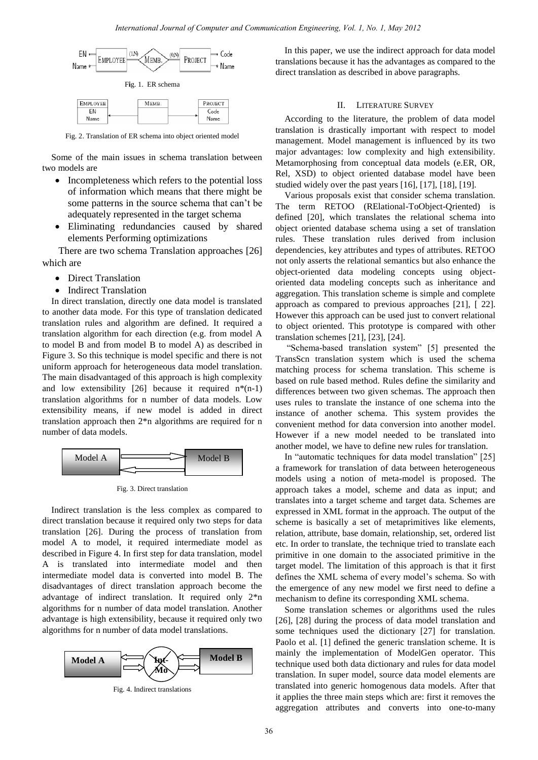

Fig. 2. Translation of ER schema into object oriented model

Name

Some of the main issues in schema translation between two models are

- Incompleteness which refers to the potential loss of information which means that there might be some patterns in the source schema that can't be adequately represented in the target schema
- Eliminating redundancies caused by shared elements Performing optimizations

There are two schema Translation approaches [26] which are

• Direct Translation

Nam

Indirect Translation

In direct translation, directly one data model is translated to another data mode. For this type of translation dedicated translation rules and algorithm are defined. It required a translation algorithm for each direction (e.g. from model A to model B and from model B to model A) as described in Figure 3. So this technique is model specific and there is not uniform approach for heterogeneous data model translation. The main disadvantaged of this approach is high complexity and low extensibility [26] because it required  $n*(n-1)$ translation algorithms for n number of data models. Low extensibility means, if new model is added in direct translation approach then 2\*n algorithms are required for n number of data models.



Fig. 3. Direct translation

Indirect translation is the less complex as compared to direct translation because it required only two steps for data translation [26]. During the process of translation from model A to model, it required intermediate model as described in Figure 4. In first step for data translation, model A is translated into intermediate model and then intermediate model data is converted into model B. The disadvantages of direct translation approach become the advantage of indirect translation. It required only 2\*n algorithms for n number of data model translation. Another advantage is high extensibility, because it required only two algorithms for n number of data model translations.



Fig. 4. Indirect translations

In this paper, we use the indirect approach for data model translations because it has the advantages as compared to the direct translation as described in above paragraphs.

## II. LITERATURE SURVEY

According to the literature, the problem of data model translation is drastically important with respect to model management. Model management is influenced by its two major advantages: low complexity and high extensibility. Metamorphosing from conceptual data models (e.ER, OR, Rel, XSD) to object oriented database model have been studied widely over the past years [16], [17], [18], [19].

Various proposals exist that consider schema translation. The term RETOO (RElational-ToObject-Qriented) is defined [20], which translates the relational schema into object oriented database schema using a set of translation rules. These translation rules derived from inclusion dependencies, key attributes and types of attributes. RETOO not only asserts the relational semantics but also enhance the object-oriented data modeling concepts using objectoriented data modeling concepts such as inheritance and aggregation. This translation scheme is simple and complete approach as compared to previous approaches [21], [ 22]. However this approach can be used just to convert relational to object oriented. This prototype is compared with other translation schemes [21], [23], [24].

"Schema-based translation system" [5] presented the TransScn translation system which is used the schema matching process for schema translation. This scheme is based on rule based method. Rules define the similarity and differences between two given schemas. The approach then uses rules to translate the instance of one schema into the instance of another schema. This system provides the convenient method for data conversion into another model. However if a new model needed to be translated into another model, we have to define new rules for translation.

In "automatic techniques for data model translation" [25] a framework for translation of data between heterogeneous models using a notion of meta-model is proposed. The approach takes a model, scheme and data as input; and translates into a target scheme and target data. Schemes are expressed in XML format in the approach. The output of the scheme is basically a set of metaprimitives like elements, relation, attribute, base domain, relationship, set, ordered list etc. In order to translate, the technique tried to translate each primitive in one domain to the associated primitive in the target model. The limitation of this approach is that it first defines the XML schema of every model's schema. So with the emergence of any new model we first need to define a mechanism to define its corresponding XML schema.

Some translation schemes or algorithms used the rules [26], [28] during the process of data model translation and some techniques used the dictionary [27] for translation. Paolo et al. [1] defined the generic translation scheme. It is mainly the implementation of ModelGen operator. This technique used both data dictionary and rules for data model translation. In super model, source data model elements are translated into generic homogenous data models. After that it applies the three main steps which are: first it removes the aggregation attributes and converts into one-to-many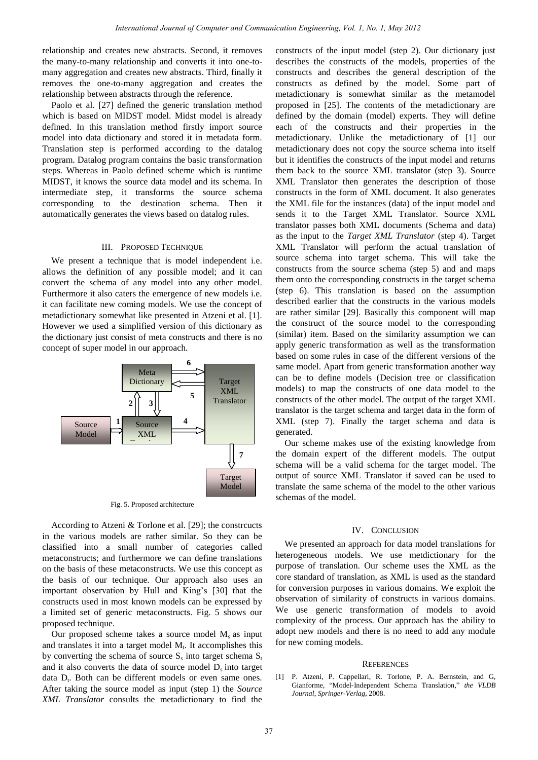relationship and creates new abstracts. Second, it removes the many-to-many relationship and converts it into one-tomany aggregation and creates new abstracts. Third, finally it removes the one-to-many aggregation and creates the relationship between abstracts through the reference.

Paolo et al. [27] defined the generic translation method which is based on MIDST model. Midst model is already defined. In this translation method firstly import source model into data dictionary and stored it in metadata form. Translation step is performed according to the datalog program. Datalog program contains the basic transformation steps. Whereas in Paolo defined scheme which is runtime MIDST, it knows the source data model and its schema. In intermediate step, it transforms the source schema corresponding to the destination schema. Then it automatically generates the views based on datalog rules.

## III. PROPOSED TECHNIQUE

We present a technique that is model independent i.e. allows the definition of any possible model; and it can convert the schema of any model into any other model. Furthermore it also caters the emergence of new models i.e. it can facilitate new coming models. We use the concept of metadictionary somewhat like presented in Atzeni et al. [1]. However we used a simplified version of this dictionary as the dictionary just consist of meta constructs and there is no concept of super model in our approach.



Fig. 5. Proposed architecture

According to Atzeni & Torlone et al. [29]; the constrcucts in the various models are rather similar. So they can be classified into a small number of categories called metaconstructs; and furthermore we can define translations on the basis of these metaconstructs. We use this concept as the basis of our technique. Our approach also uses an important observation by Hull and King's [30] that the constructs used in most known models can be expressed by a limited set of generic metaconstructs. Fig. 5 shows our proposed technique.

Our proposed scheme takes a source model  $M_s$  as input and translates it into a target model  $M_t$ . It accomplishes this by converting the schema of source  $S_s$  into target schema  $S_t$ and it also converts the data of source model  $D_s$  into target data D<sub>t</sub>. Both can be different models or even same ones. After taking the source model as input (step 1) the *Source XML Translator* consults the metadictionary to find the

constructs of the input model (step 2). Our dictionary just describes the constructs of the models, properties of the constructs and describes the general description of the constructs as defined by the model. Some part of metadictionary is somewhat similar as the metamodel proposed in [25]. The contents of the metadictionary are defined by the domain (model) experts. They will define each of the constructs and their properties in the metadictionary. Unlike the metadictionary of [1] our metadictionary does not copy the source schema into itself but it identifies the constructs of the input model and returns them back to the source XML translator (step 3). Source XML Translator then generates the description of those constructs in the form of XML document. It also generates the XML file for the instances (data) of the input model and sends it to the Target XML Translator. Source XML translator passes both XML documents (Schema and data) as the input to the *Target XML Translator* (step 4). Target XML Translator will perform the actual translation of source schema into target schema. This will take the constructs from the source schema (step 5) and and maps them onto the corresponding constructs in the target schema (step 6). This translation is based on the assumption described earlier that the constructs in the various models are rather similar [29]. Basically this component will map the construct of the source model to the corresponding (similar) item. Based on the similarity assumption we can apply generic transformation as well as the transformation based on some rules in case of the different versions of the same model. Apart from generic transformation another way can be to define models (Decision tree or classification models) to map the constructs of one data model to the constructs of the other model. The output of the target XML translator is the target schema and target data in the form of XML (step 7). Finally the target schema and data is generated.

Our scheme makes use of the existing knowledge from the domain expert of the different models. The output schema will be a valid schema for the target model. The output of source XML Translator if saved can be used to translate the same schema of the model to the other various schemas of the model.

## IV. CONCLUSION

We presented an approach for data model translations for heterogeneous models. We use metdictionary for the purpose of translation. Our scheme uses the XML as the core standard of translation, as XML is used as the standard for conversion purposes in various domains. We exploit the observation of similarity of constructs in various domains. We use generic transformation of models to avoid complexity of the process. Our approach has the ability to adopt new models and there is no need to add any module for new coming models.

#### **REFERENCES**

[1] P. Atzeni, P. Cappellari, R. Torlone, P. A. Bernstein, and G, Gianforme, "Model-Independent Schema Translation," *the VLDB Journal*, *Springer-Verlag*, 2008.